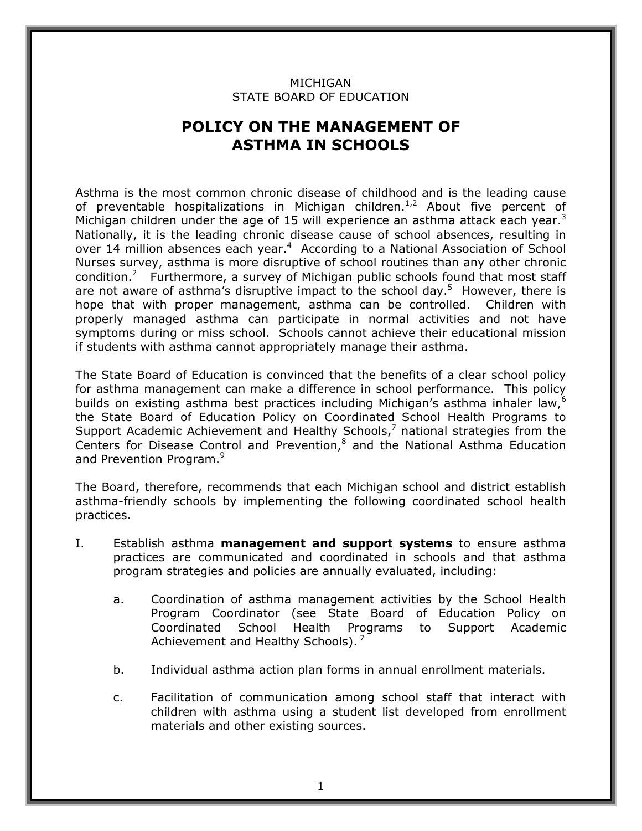## MICHIGAN STATE BOARD OF EDUCATION

## **POLICY ON THE MANAGEMENT OF ASTHMA IN SCHOOLS**

Michigan children under the age of 15 will experience an asthma attack each year.<sup>3</sup> symptoms during or miss school. Schools cannot achieve their educational mission Asthma is the most common chronic disease of childhood and is the leading cause of preventable hospitalizations in Michigan children.1,2 About five percent of Nationally, it is the leading chronic disease cause of school absences, resulting in over 14 million absences each year.<sup>4</sup> According to a National Association of School Nurses survey, asthma is more disruptive of school routines than any other chronic condition.<sup>2</sup> Furthermore, a survey of Michigan public schools found that most staff are not aware of asthma's disruptive impact to the school day.<sup>5</sup> However, there is hope that with proper management, asthma can be controlled. Children with properly managed asthma can participate in normal activities and not have if students with asthma cannot appropriately manage their asthma.

and Prevention Program.<sup>9</sup> The State Board of Education is convinced that the benefits of a clear school policy for asthma management can make a difference in school performance. This policy builds on existing asthma best practices including Michigan's asthma inhaler law,<sup>6</sup> the State Board of Education Policy on Coordinated School Health Programs to Support Academic Achievement and Healthy Schools, $^7$  national strategies from the Centers for Disease Control and Prevention, $<sup>8</sup>$  and the National Asthma Education</sup>

The Board, therefore, recommends that each Michigan school and district establish asthma-friendly schools by implementing the following coordinated school health practices.

- I. Establish asthma **management and support systems** to ensure asthma practices are communicated and coordinated in schools and that asthma program strategies and policies are annually evaluated, including:
	- to a. Coordination of asthma management activities by the School Health Program Coordinator (see State Board of Education Policy on Coordinated School Health Programs to Support Academic Achievement and Healthy Schools).<sup>7</sup>
	- b. Individual asthma action plan forms in annual enrollment materials.
	- c. Facilitation of communication among school staff that interact with children with asthma using a student list developed from enrollment materials and other existing sources.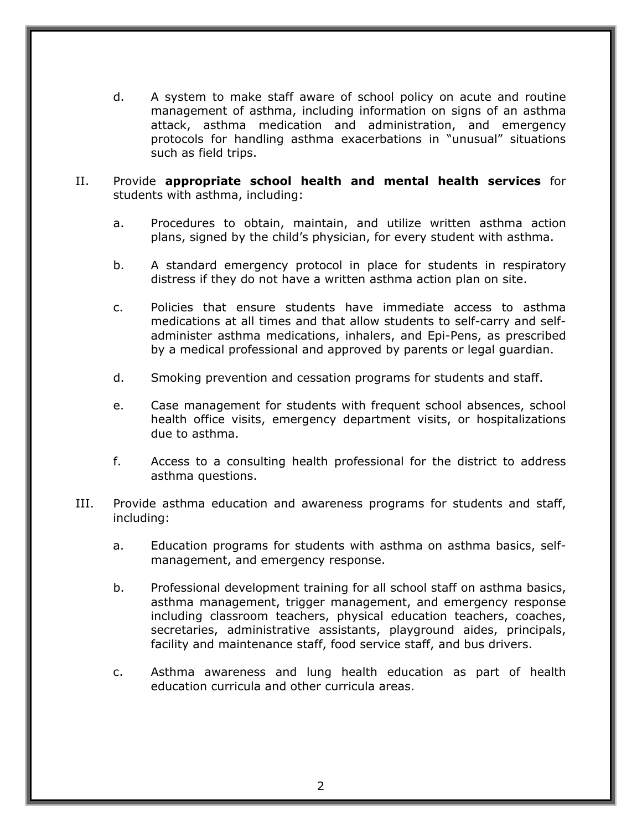d. A system to make staff aware of school policy on acute and routine management of asthma, including information on signs of an asthma attack, asthma medication and administration, and emergency protocols for handling asthma exacerbations in "unusual" situations such as field trips.

## II. Provide **appropriate school health and mental health services** for students with asthma, including:

- a. Procedures to obtain, maintain, and utilize written asthma action plans, signed by the child's physician, for every student with asthma.
- b. A standard emergency protocol in place for students in respiratory distress if they do not have a written asthma action plan on site.
- c. Policies that ensure students have immediate access to asthma medications at all times and that allow students to self-carry and selfadminister asthma medications, inhalers, and Epi-Pens, as prescribed by a medical professional and approved by parents or legal guardian.
- d. Smoking prevention and cessation programs for students and staff.
- e. Case management for students with frequent school absences, school health office visits, emergency department visits, or hospitalizations due to asthma.
- f. Access to a consulting health professional for the district to address asthma questions.
- III. Provide asthma education and awareness programs for students and staff, including:
	- a. Education programs for students with asthma on asthma basics, selfmanagement, and emergency response.
	- including classroom teachers, physical education teachers, coaches, b. Professional development training for all school staff on asthma basics, asthma management, trigger management, and emergency response secretaries, administrative assistants, playground aides, principals, facility and maintenance staff, food service staff, and bus drivers.
	- c. Asthma awareness and lung health education as part of health education curricula and other curricula areas.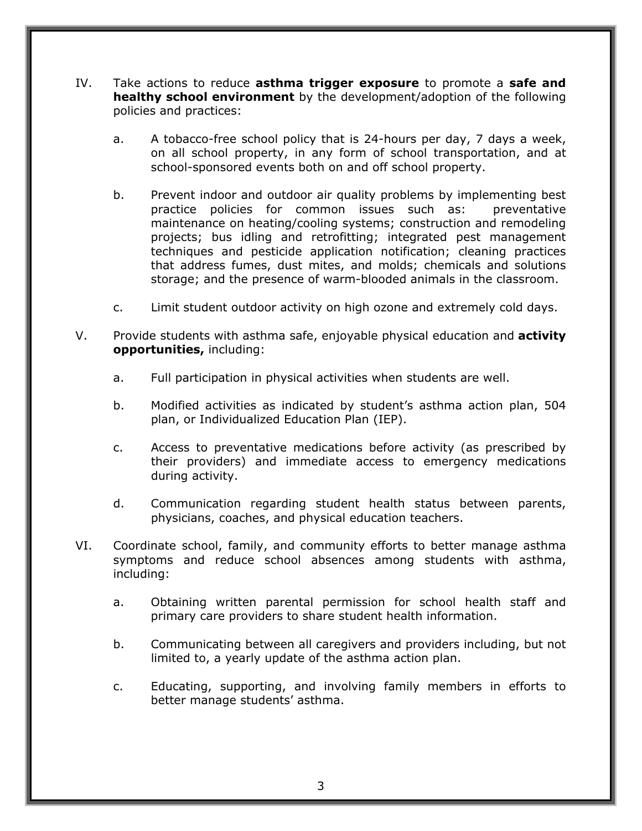- IV. Take actions to reduce **asthma trigger exposure** to promote a **safe and healthy school environment** by the development/adoption of the following policies and practices:
	- school-sponsored events both on and off school property. a. A tobacco-free school policy that is 24-hours per day, 7 days a week, on all school property, in any form of school transportation, and at
	- b. Prevent indoor and outdoor air quality problems by implementing best practice policies for common issues such as: preventative maintenance on heating/cooling systems; construction and remodeling projects; bus idling and retrofitting; integrated pest management techniques and pesticide application notification; cleaning practices that address fumes, dust mites, and molds; chemicals and solutions storage; and the presence of warm-blooded animals in the classroom.
	- c. Limit student outdoor activity on high ozone and extremely cold days.
- V. Provide students with asthma safe, enjoyable physical education and **activity opportunities,** including:
	- a. Full participation in physical activities when students are well.
	- b. Modified activities as indicated by student's asthma action plan, 504 plan, or Individualized Education Plan (IEP).
	- c. Access to preventative medications before activity (as prescribed by their providers) and immediate access to emergency medications during activity.
	- d. Communication regarding student health status between parents, physicians, coaches, and physical education teachers.
- VI. Coordinate school, family, and community efforts to better manage asthma symptoms and reduce school absences among students with asthma, including:
	- a. Obtaining written parental permission for school health staff and primary care providers to share student health information.
	- b. Communicating between all caregivers and providers including, but not limited to, a yearly update of the asthma action plan.
	- c. Educating, supporting, and involving family members in efforts to better manage students' asthma.